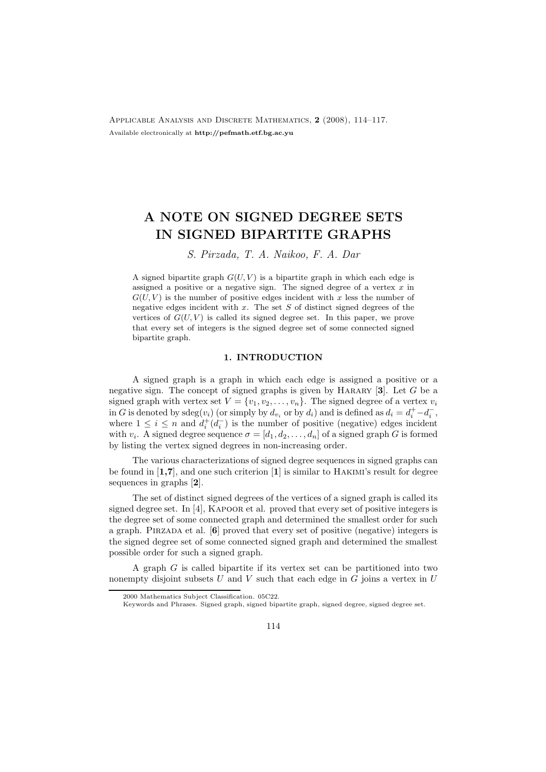Applicable Analysis and Discrete Mathematics, 2 (2008), 114–117. Available electronically at http://pefmath.etf.bg.ac.yu

## A NOTE ON SIGNED DEGREE SETS IN SIGNED BIPARTITE GRAPHS

S. Pirzada, T. A. Naikoo, F. A. Dar

A signed bipartite graph  $G(U, V)$  is a bipartite graph in which each edge is assigned a positive or a negative sign. The signed degree of a vertex  $\bar{x}$  in  $G(U, V)$  is the number of positive edges incident with x less the number of negative edges incident with  $x$ . The set  $S$  of distinct signed degrees of the vertices of  $G(U, V)$  is called its signed degree set. In this paper, we prove that every set of integers is the signed degree set of some connected signed bipartite graph.

## 1. INTRODUCTION

A signed graph is a graph in which each edge is assigned a positive or a negative sign. The concept of signed graphs is given by HARARY  $[3]$ . Let G be a signed graph with vertex set  $V = \{v_1, v_2, \ldots, v_n\}$ . The signed degree of a vertex  $v_i$ in G is denoted by sdeg $(v_i)$  (or simply by  $d_{v_i}$  or by  $d_i$ ) and is defined as  $d_i = d_i^+ - d_i^ \frac{-}{i}$ , where  $1 \leq i \leq n$  and  $d_i^+(d_i^-)$  $\binom{1}{i}$  is the number of positive (negative) edges incident with  $v_i$ . A signed degree sequence  $\sigma = [d_1, d_2, \ldots, d_n]$  of a signed graph G is formed by listing the vertex signed degrees in non-increasing order.

The various characterizations of signed degree sequences in signed graphs can be found in  $[1,7]$ , and one such criterion  $[1]$  is similar to HAKIMI's result for degree sequences in graphs [2].

The set of distinct signed degrees of the vertices of a signed graph is called its signed degree set. In  $[4]$ , KAPOOR et al. proved that every set of positive integers is the degree set of some connected graph and determined the smallest order for such a graph. PIRZADA et al.  $[6]$  proved that every set of positive (negative) integers is the signed degree set of some connected signed graph and determined the smallest possible order for such a signed graph.

A graph G is called bipartite if its vertex set can be partitioned into two nonempty disjoint subsets U and V such that each edge in G joins a vertex in U

<sup>2000</sup> Mathematics Subject Classification. 05C22.

Keywords and Phrases. Signed graph, signed bipartite graph, signed degree, signed degree set.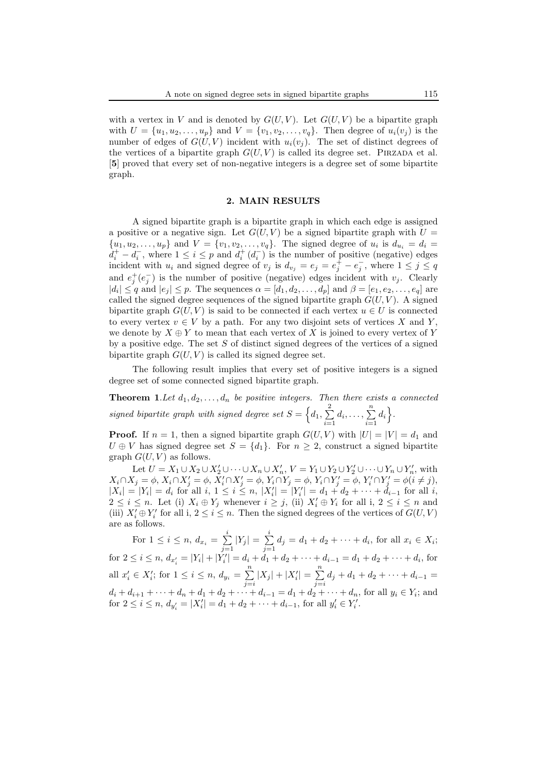with a vertex in V and is denoted by  $G(U, V)$ . Let  $G(U, V)$  be a bipartite graph with  $U = \{u_1, u_2, ..., u_p\}$  and  $V = \{v_1, v_2, ..., v_q\}$ . Then degree of  $u_i(v_j)$  is the number of edges of  $G(U, V)$  incident with  $u_i(v_j)$ . The set of distinct degrees of the vertices of a bipartite graph  $G(U, V)$  is called its degree set. PIRZADA et al. [5] proved that every set of non-negative integers is a degree set of some bipartite graph.

## 2. MAIN RESULTS

A signed bipartite graph is a bipartite graph in which each edge is assigned a positive or a negative sign. Let  $G(U, V)$  be a signed bipartite graph with  $U =$  $\{u_1, u_2, \ldots, u_p\}$  and  $V = \{v_1, v_2, \ldots, v_q\}$ . The signed degree of  $u_i$  is  $d_{u_i} = d_i$  $d_i^+ - d_i^ \overline{i}$ , where  $1 \leq i \leq p$  and  $\overline{d_i^+}(d_i^-)$  $\binom{-}{i}$  is the number of positive (negative) edges incident with  $u_i$  and signed degree of  $v_j$  is  $d_{v_j} = e_j = e_j^{\frac{1}{f}} - e_j^{-\frac{1}{f}}$  $\overline{j}$ , where  $1 \leq j \leq q$ and  $e_j^+(e_j^-)$  $j$ ) is the number of positive (negative) edges incident with  $v_j$ . Clearly  $|d_i| \leq q$  and  $|e_j| \leq p$ . The sequences  $\alpha = [d_1, d_2, \ldots, d_p]$  and  $\beta = [e_1, e_2, \ldots, e_q]$  are called the signed degree sequences of the signed bipartite graph  $G(U, V)$ . A signed bipartite graph  $G(U, V)$  is said to be connected if each vertex  $u \in U$  is connected to every vertex  $v \in V$  by a path. For any two disjoint sets of vertices X and Y, we denote by  $X \oplus Y$  to mean that each vertex of X is joined to every vertex of Y by a positive edge. The set  $S$  of distinct signed degrees of the vertices of a signed bipartite graph  $G(U, V)$  is called its signed degree set.

The following result implies that every set of positive integers is a signed degree set of some connected signed bipartite graph.

**Theorem 1.** Let  $d_1, d_2, \ldots, d_n$  be positive integers. Then there exists a connected signed bipartite graph with signed degree set  $S = \left\{d_1, \sum_{i=1}^{n} d_i\right\}$  $\sum_{i=1}^{2} d_i, \ldots, \sum_{i=1}^{n}$  $\sum_{i=1}^n d_i$ .

**Proof.** If  $n = 1$ , then a signed bipartite graph  $G(U, V)$  with  $|U| = |V| = d_1$  and  $U \oplus V$  has signed degree set  $S = \{d_1\}$ . For  $n \geq 2$ , construct a signed bipartite graph  $G(U, V)$  as follows.

Let  $U = X_1 \cup X_2 \cup X_2' \cup \cdots \cup X_n \cup X_n'$ ,  $V = Y_1 \cup Y_2 \cup Y_2' \cup \cdots \cup Y_n \cup Y_n'$ , with  $X_i \cap X_j = \phi, X_i \cap X'_j = \phi, \, \tilde{X}'_i \cap X'_j = \phi, Y_i \cap Y_j = \phi, Y_i \cap Y'_j = \phi, Y'_i \cap Y'_j = \phi(i \neq j),$  $|X_i| = |Y_i| = d_i$  for all  $i, 1 \le i \le n, |X'_i| = |Y'_i| = d_1 + d_2 + \cdots + d_{i-1}$  for all  $i$ ,  $2 \leq i \leq n$ . Let (i)  $X_i \oplus Y_j$  whenever  $i \geq j$ , (ii)  $X'_i \oplus Y_i$  for all i,  $2 \leq i \leq n$  and (iii)  $X_i' \oplus Y_i'$  for all i,  $2 \leq i \leq n$ . Then the signed degrees of the vertices of  $G(U, V)$ are as follows.

For  $1 \leq i \leq n$ ,  $d_{x_i} = \sum_{i=1}^{i} d_i$  $\sum_{j=1}^{i} |Y_j| = \sum_{j=1}^{i}$  $\sum_{j=1} d_j = d_1 + d_2 + \cdots + d_i$ , for all  $x_i \in X_i$ ; for  $2 \leq i \leq n$ ,  $d_{x_i'} = |Y_i| + |\dot{Y}_i'| = d_i + \dot{d}_1 + d_2 + \cdots + d_{i-1} = d_1 + d_2 + \cdots + d_i$ , for all  $x'_i \in X'_i$ ; for  $1 \leq i \leq n$ ,  $d_{y_i} = \sum^n$  $\sum_{j=i}^{n} |X_j| + |X'_i| = \sum_{j=i}^{n}$  $\sum_{j=i} d_j + d_1 + d_2 + \cdots + d_{i-1} =$  $d_i + d_{i+1} + \cdots + d_n + d_1 + d_2 + \cdots + d_{i-1} = d_1 + d_2 + \cdots + d_n$ , for all  $y_i \in Y_i$ ; and for  $2 \leq i \leq n$ ,  $d_{y'_i} = |X'_i| = d_1 + d_2 + \cdots + d_{i-1}$ , for all  $y'_i \in Y'_i$ .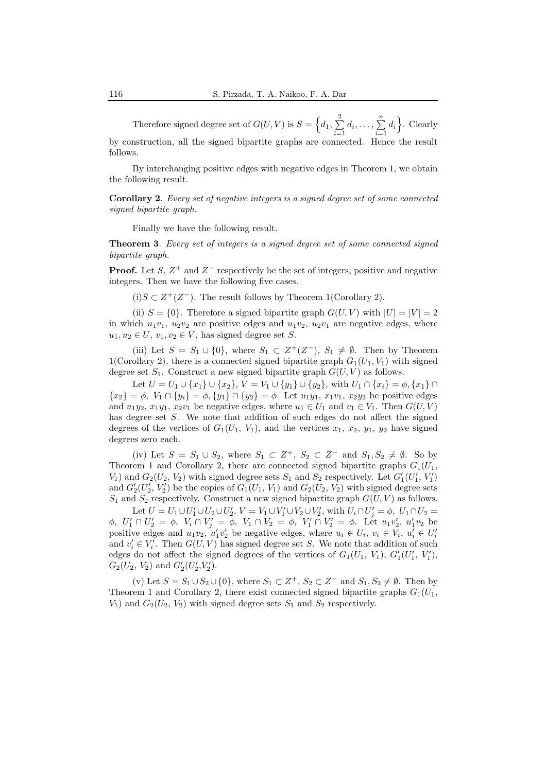Therefore signed degree set of  $G(U, V)$  is  $S = \{d_1, \sum_{i=1}^{n} d_i\}$  $\sum_{i=1}^{2} d_i, \ldots, \sum_{i=1}^{n}$  $\sum_{i=1}^{n} d_i$ . Clearly by construction, all the signed bipartite graphs are connected. Hence the result follows.

By interchanging positive edges with negative edges in Theorem 1, we obtain the following result.

Corollary 2. Every set of negative integers is a signed degree set of some connected signed bipartite graph.

Finally we have the following result.

Theorem 3. Every set of integers is a signed degree set of some connected signed bipartite graph.

**Proof.** Let S,  $Z^+$  and  $Z^-$  respectively be the set of integers, positive and negative integers. Then we have the following five cases.

(i) S ⊂  $Z^+(Z^-)$ . The result follows by Theorem 1(Corollary 2).

(ii)  $S = \{0\}$ . Therefore a signed bipartite graph  $G(U, V)$  with  $|U| = |V| = 2$ in which  $u_1v_1$ ,  $u_2v_2$  are positive edges and  $u_1v_2$ ,  $u_2v_1$  are negative edges, where  $u_1, u_2 \in U$ ,  $v_1, v_2 \in V$ , has signed degree set S.

(iii) Let  $S = S_1 \cup \{0\}$ , where  $S_1 \subset Z^+(Z^-)$ ,  $S_1 \neq \emptyset$ . Then by Theorem 1(Corollary 2), there is a connected signed bipartite graph  $G_1(U_1, V_1)$  with signed degree set  $S_1$ . Construct a new signed bipartite graph  $G(U, V)$  as follows.

Let  $U = U_1 \cup \{x_1\} \cup \{x_2\}, V = V_1 \cup \{y_1\} \cup \{y_2\},\$  with  $U_1 \cap \{x_i\} = \phi, \{x_1\} \cap$  ${x_2} = \phi, V_1 \cap {y_i} = \phi, {y_1} \cap {y_2} = \phi$ . Let  $u_1y_1, x_1v_1, x_2y_2$  be positive edges and  $u_1y_2, x_1y_1, x_2v_1$  be negative edges, where  $u_1 \in U_1$  and  $v_1 \in V_1$ . Then  $G(U, V)$ has degree set S. We note that addition of such edges do not affect the signed degrees of the vertices of  $G_1(U_1, V_1)$ , and the vertices  $x_1, x_2, y_1, y_2$  have signed degrees zero each.

(iv) Let  $S = S_1 \cup S_2$ , where  $S_1 \subset Z^+$ ,  $S_2 \subset Z^-$  and  $S_1, S_2 \neq \emptyset$ . So by Theorem 1 and Corollary 2, there are connected signed bipartite graphs  $G_1(U_1,$  $V_1$ ) and  $G_2(U_2, V_2)$  with signed degree sets  $S_1$  and  $S_2$  respectively. Let  $G'_1(U'_1, V'_1)$ and  $G'_2(U'_2, V'_2)$  be the copies of  $G_1(U_1, V_1)$  and  $G_2(U_2, V_2)$  with signed degree sets  $S_1$  and  $S_2$  respectively. Construct a new signed bipartite graph  $G(U, V)$  as follows.

Let  $U = U_1 \cup U_1' \cup U_2 \cup U_2'$ ,  $V = V_1 \cup V_1' \cup V_2 \cup V_2'$ , with  $U_i \cap U_j' = \phi$ ,  $U_1 \cap U_2 =$  $\phi$ ,  $U'_1 \cap U'_2 = \phi$ ,  $V_i \cap V'_j = \phi$ ,  $V_1 \cap V_2 = \phi$ ,  $V'_1 \cap V'_2 = \phi$ . Let  $u_1v'_2$ ,  $u'_1v_2$  be positive edges and  $u_1v_2, u'_1v'_2$  be negative edges, where  $u_i \in U_i$ ,  $v_i \in V_i$ ,  $u'_i \in U'_i$ and  $v_i' \in V_i'$ . Then  $G(U, V)$  has signed degree set S. We note that addition of such edges do not affect the signed degrees of the vertices of  $G_1(U_1, V_1)$ ,  $G'_1(U'_1, V'_1)$ ,  $G_2(U_2, V_2)$  and  $G'_2(U'_2, V'_2)$ .

(v) Let  $S = S_1 \cup S_2 \cup \{0\}$ , where  $S_1 \subset Z^+$ ,  $S_2 \subset Z^-$  and  $S_1, S_2 \neq \emptyset$ . Then by Theorem 1 and Corollary 2, there exist connected signed bipartite graphs  $G_1(U_1,$  $V_1$ ) and  $G_2(U_2, V_2)$  with signed degree sets  $S_1$  and  $S_2$  respectively.